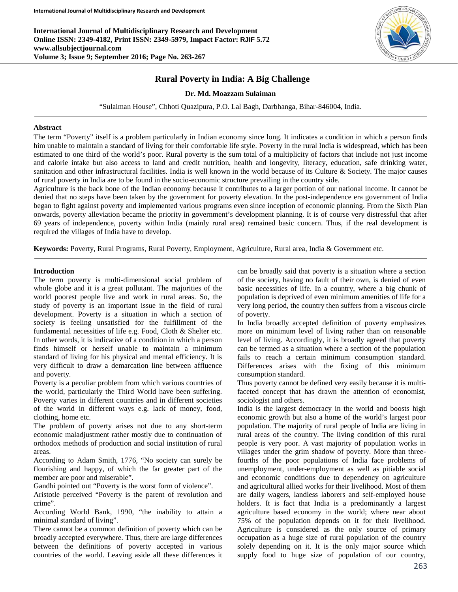**International Journal of Multidisciplinary Research and Development Online ISSN: 2349-4182, Print ISSN: 2349-5979, Impact Factor: RJIF 5.72 www.allsubjectjournal.com Volume 3; Issue 9; September 2016; Page No. 263-267**



# **Rural Poverty in India: A Big Challenge**

#### **Dr. Md. Moazzam Sulaiman**

"Sulaiman House", Chhoti Quazipura, P.O. Lal Bagh, Darbhanga, Bihar-846004, India.

#### **Abstract**

The term "Poverty" itself is a problem particularly in Indian economy since long. It indicates a condition in which a person finds him unable to maintain a standard of living for their comfortable life style. Poverty in the rural India is widespread, which has been estimated to one third of the world's poor. Rural poverty is the sum total of a multiplicity of factors that include not just income and calorie intake but also access to land and credit nutrition, health and longevity, literacy, education, safe drinking water, sanitation and other infrastructural facilities. India is well known in the world because of its Culture & Society. The major causes of rural poverty in India are to be found in the socio-economic structure prevailing in the country side.

Agriculture is the back bone of the Indian economy because it contributes to a larger portion of our national income. It cannot be denied that no steps have been taken by the government for poverty elevation. In the post-independence era government of India began to fight against poverty and implemented various programs even since inception of economic planning. From the Sixth Plan onwards, poverty alleviation became the priority in government's development planning. It is of course very distressful that after 69 years of independence, poverty within India (mainly rural area) remained basic concern. Thus, if the real development is required the villages of India have to develop.

**Keywords:** Poverty, Rural Programs, Rural Poverty, Employment, Agriculture, Rural area, India & Government etc.

#### **Introduction**

The term poverty is multi-dimensional social problem of whole globe and it is a great pollutant. The majorities of the world poorest people live and work in rural areas. So, the study of poverty is an important issue in the field of rural development. Poverty is a situation in which a section of society is feeling unsatisfied for the fulfillment of the fundamental necessities of life e.g. Food, Cloth & Shelter etc. In other words, it is indicative of a condition in which a person finds himself or herself unable to maintain a minimum standard of living for his physical and mental efficiency. It is very difficult to draw a demarcation line between affluence and poverty.

Poverty is a peculiar problem from which various countries of the world, particularly the Third World have been suffering. Poverty varies in different countries and in different societies of the world in different ways e.g. lack of money, food, clothing, home etc.

The problem of poverty arises not due to any short-term economic maladjustment rather mostly due to continuation of orthodox methods of production and social institution of rural areas.

According to Adam Smith, 1776, "No society can surely be flourishing and happy, of which the far greater part of the member are poor and miserable".

Gandhi pointed out "Poverty is the worst form of violence".

Aristotle perceived "Poverty is the parent of revolution and crime".

According World Bank, 1990, "the inability to attain a minimal standard of living".

There cannot be a common definition of poverty which can be broadly accepted everywhere. Thus, there are large differences between the definitions of poverty accepted in various countries of the world. Leaving aside all these differences it can be broadly said that poverty is a situation where a section of the society, having no fault of their own, is denied of even basic necessities of life. In a country, where a big chunk of population is deprived of even minimum amenities of life for a very long period, the country then suffers from a viscous circle of poverty.

In India broadly accepted definition of poverty emphasizes more on minimum level of living rather than on reasonable level of living. Accordingly, it is broadly agreed that poverty can be termed as a situation where a section of the population fails to reach a certain minimum consumption standard. Differences arises with the fixing of this minimum consumption standard.

Thus poverty cannot be defined very easily because it is multifaceted concept that has drawn the attention of economist, sociologist and others.

India is the largest democracy in the world and boosts high economic growth but also a home of the world's largest poor population. The majority of rural people of India are living in rural areas of the country. The living condition of this rural people is very poor. A vast majority of population works in villages under the grim shadow of poverty. More than threefourths of the poor populations of India face problems of unemployment, under-employment as well as pitiable social and economic conditions due to dependency on agriculture and agricultural allied works for their livelihood. Most of them are daily wagers, landless laborers and self-employed house holders. It is fact that India is a predominantly a largest agriculture based economy in the world; where near about 75% of the population depends on it for their livelihood. Agriculture is considered as the only source of primary occupation as a huge size of rural population of the country solely depending on it. It is the only major source which supply food to huge size of population of our country,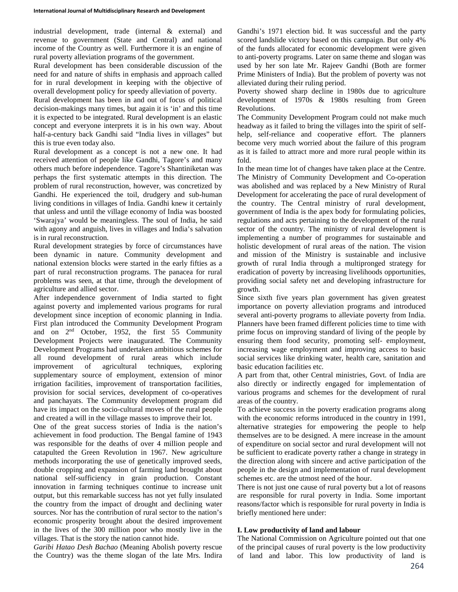industrial development, trade (internal & external) and revenue to government (State and Central) and national income of the Country as well. Furthermore it is an engine of rural poverty alleviation programs of the government.

Rural development has been considerable discussion of the need for and nature of shifts in emphasis and approach called for in rural development in keeping with the objective of overall development policy for speedy alleviation of poverty.

Rural development has been in and out of focus of political decision-makings many times, but again it is 'in' and this time it is expected to be integrated. Rural development is an elastic concept and everyone interprets it is in his own way. About half-a-century back Gandhi said "India lives in villages" but this is true even today also.

Rural development as a concept is not a new one. It had received attention of people like Gandhi, Tagore's and many others much before independence. Tagore's Shantiniketan was perhaps the first systematic attempts in this direction. The problem of rural reconstruction, however, was concretized by Gandhi. He experienced the toil, drudgery and sub-human living conditions in villages of India. Gandhi knew it certainly that unless and until the village economy of India was boosted 'Swarajya' would be meaningless. The soul of India, he said with agony and anguish, lives in villages and India's salvation is in rural reconstruction.

Rural development strategies by force of circumstances have been dynamic in nature. Community development and national extension blocks were started in the early fifties as a part of rural reconstruction programs. The panacea for rural problems was seen, at that time, through the development of agriculture and allied sector.

After independence government of India started to fight against poverty and implemented various programs for rural development since inception of economic planning in India. First plan introduced the Community Development Program and on 2nd October, 1952, the first 55 Community Development Projects were inaugurated. The Community Development Programs had undertaken ambitious schemes for all round development of rural areas which include improvement of agricultural techniques, exploring supplementary source of employment, extension of minor irrigation facilities, improvement of transportation facilities, provision for social services, development of co-operatives and panchayats. The Community development program did have its impact on the socio-cultural moves of the rural people and created a will in the village masses to improve their lot.

One of the great success stories of India is the nation's achievement in food production. The Bengal famine of 1943 was responsible for the deaths of over 4 million people and catapulted the Green Revolution in 1967. New agriculture methods incorporating the use of genetically improved seeds, double cropping and expansion of farming land brought about national self-sufficiency in grain production. Constant innovation in farming techniques continue to increase unit output, but this remarkable success has not yet fully insulated the country from the impact of drought and declining water sources. Nor has the contribution of rural sector to the nation's economic prosperity brought about the desired improvement in the lives of the 300 million poor who mostly live in the villages. That is the story the nation cannot hide.

*Garibi Hatao Desh Bachao* (Meaning Abolish poverty rescue the Country) was the theme slogan of the late Mrs. Indira Gandhi's 1971 election bid. It was successful and the party scored landslide victory based on this campaign. But only 4% of the funds allocated for economic development were given to anti-poverty programs. Later on same theme and slogan was used by her son late Mr. Rajeev Gandhi (Both are former Prime Ministers of India). But the problem of poverty was not alleviated during their ruling period.

Poverty showed sharp decline in 1980s due to agriculture development of 1970s & 1980s resulting from Green Revolutions.

The Community Development Program could not make much headway as it failed to bring the villages into the spirit of selfhelp, self-reliance and cooperative effort. The planners become very much worried about the failure of this program as it is failed to attract more and more rural people within its fold.

In the mean time lot of changes have taken place at the Centre. The Ministry of Community Development and Co-operation was abolished and was replaced by a New Ministry of Rural Development for accelerating the pace of rural development of the country. The Central ministry of rural development, government of India is the apex body for formulating policies, regulations and acts pertaining to the development of the rural sector of the country. The ministry of rural development is implementing a number of programmes for sustainable and holistic development of rural areas of the nation. The vision and mission of the Ministry is sustainable and inclusive growth of rural India through a multipronged strategy for eradication of poverty by increasing livelihoods opportunities, providing social safety net and developing infrastructure for growth.

Since sixth five years plan government has given greatest importance on poverty alleviation programs and introduced several anti-poverty programs to alleviate poverty from India. Planners have been framed different policies time to time with prime focus on improving standard of living of the people by ensuring them food security, promoting self- employment, increasing wage employment and improving access to basic social services like drinking water, health care, sanitation and basic education facilities etc.

A part from that, other Central ministries, Govt. of India are also directly or indirectly engaged for implementation of various programs and schemes for the development of rural areas of the country.

To achieve success in the poverty eradication programs along with the economic reforms introduced in the country in 1991, alternative strategies for empowering the people to help themselves are to be designed. A mere increase in the amount of expenditure on social sector and rural development will not be sufficient to eradicate poverty rather a change in strategy in the direction along with sincere and active participation of the people in the design and implementation of rural development schemes etc. are the utmost need of the hour.

There is not just one cause of rural poverty but a lot of reasons are responsible for rural poverty in India. Some important reasons/factor which is responsible for rural poverty in India is briefly mentioned here under:

## **I. Low productivity of land and labour**

The National Commission on Agriculture pointed out that one of the principal causes of rural poverty is the low productivity of land and labor. This low productivity of land is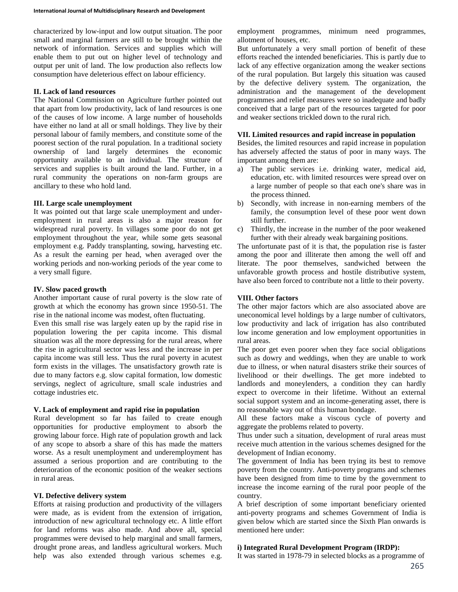characterized by low-input and low output situation. The poor small and marginal farmers are still to be brought within the network of information. Services and supplies which will enable them to put out on higher level of technology and output per unit of land. The low production also reflects low consumption have deleterious effect on labour efficiency.

### **II. Lack of land resources**

The National Commission on Agriculture further pointed out that apart from low productivity, lack of land resources is one of the causes of low income. A large number of households have either no land at all or small holdings. They live by their personal labour of family members, and constitute some of the poorest section of the rural population. In a traditional society ownership of land largely determines the economic opportunity available to an individual. The structure of services and supplies is built around the land. Further, in a rural community the operations on non-farm groups are ancillary to these who hold land.

#### **III. Large scale unemployment**

It was pointed out that large scale unemployment and underemployment in rural areas is also a major reason for widespread rural poverty. In villages some poor do not get employment throughout the year, while some gets seasonal employment e.g. Paddy transplanting, sowing, harvesting etc. As a result the earning per head, when averaged over the working periods and non-working periods of the year come to a very small figure.

#### **IV. Slow paced growth**

Another important cause of rural poverty is the slow rate of growth at which the economy has grown since 1950-51. The rise in the national income was modest, often fluctuating.

Even this small rise was largely eaten up by the rapid rise in population lowering the per capita income. This dismal situation was all the more depressing for the rural areas, where the rise in agricultural sector was less and the increase in per capita income was still less. Thus the rural poverty in acutest form exists in the villages. The unsatisfactory growth rate is due to many factors e.g. slow capital formation, low domestic servings, neglect of agriculture, small scale industries and cottage industries etc.

#### **V. Lack of employment and rapid rise in population**

Rural development so far has failed to create enough opportunities for productive employment to absorb the growing labour force. High rate of population growth and lack of any scope to absorb a share of this has made the matters worse. As a result unemployment and underemployment has assumed a serious proportion and are contributing to the deterioration of the economic position of the weaker sections in rural areas.

#### **VI. Defective delivery system**

Efforts at raising production and productivity of the villagers were made, as is evident from the extension of irrigation, introduction of new agricultural technology etc. A little effort for land reforms was also made. And above all, special programmes were devised to help marginal and small farmers, drought prone areas, and landless agricultural workers. Much help was also extended through various schemes e.g.

employment programmes, minimum need programmes, allotment of houses, etc.

But unfortunately a very small portion of benefit of these efforts reached the intended beneficiaries. This is partly due to lack of any effective organization among the weaker sections of the rural population. But largely this situation was caused by the defective delivery system. The organization, the administration and the management of the development programmes and relief measures were so inadequate and badly conceived that a large part of the resources targeted for poor and weaker sections trickled down to the rural rich.

#### **VII. Limited resources and rapid increase in population**

Besides, the limited resources and rapid increase in population has adversely affected the status of poor in many ways. The important among them are:

- a) The public services i.e. drinking water, medical aid, education, etc. with limited resources were spread over on a large number of people so that each one's share was in the process thinned.
- b) Secondly, with increase in non-earning members of the family, the consumption level of these poor went down still further.
- c) Thirdly, the increase in the number of the poor weakened further with their already weak bargaining positions.

The unfortunate past of it is that, the population rise is faster among the poor and illiterate then among the well off and literate. The poor themselves, sandwiched between the unfavorable growth process and hostile distributive system, have also been forced to contribute not a little to their poverty.

#### **VIII. Other factors**

The other major factors which are also associated above are uneconomical level holdings by a large number of cultivators, low productivity and lack of irrigation has also contributed low income generation and low employment opportunities in rural areas.

The poor get even poorer when they face social obligations such as dowry and weddings, when they are unable to work due to illness, or when natural disasters strike their sources of livelihood or their dwellings. The get more indebted to landlords and moneylenders, a condition they can hardly expect to overcome in their lifetime. Without an external social support system and an income-generating asset, there is no reasonable way out of this human bondage.

All these factors make a viscous cycle of poverty and aggregate the problems related to poverty.

Thus under such a situation, development of rural areas must receive much attention in the various schemes designed for the development of Indian economy.

The government of India has been trying its best to remove poverty from the country. Anti-poverty programs and schemes have been designed from time to time by the government to increase the income earning of the rural poor people of the country.

A brief description of some important beneficiary oriented anti-poverty programs and schemes Government of India is given below which are started since the Sixth Plan onwards is mentioned here under:

### **i) Integrated Rural Development Program (IRDP):**

It was started in 1978-79 in selected blocks as a programme of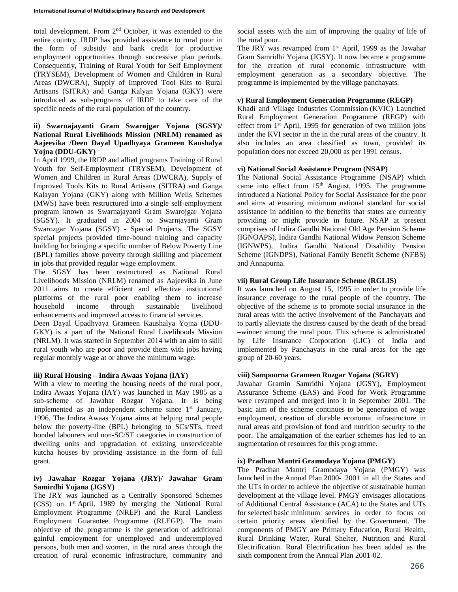total development. From 2nd October, it was extended to the entire country. IRDP has provided assistance to rural poor in the form of subsidy and bank credit for productive employment opportunities through successive plan periods. Consequently, Training of Rural Youth for Self Employment (TRYSEM), Development of Women and Children in Rural Areas (DWCRA), Supply of Improved Tool Kits to Rural Artisans (SITRA) and Ganga Kalyan Yojana (GKY) were introduced as sub-programs of IRDP to take care of the specific needs of the rural population of the country.

## **ii) Swarnajayanti Gram Swarojgar Yojana (SGSY)/ National Rural Livelihoods Mission (NRLM) renamed as Aajeevika /Deen Dayal Upadhyaya Grameen Kaushalya Yojna (DDU-GKY)**

In April 1999, the IRDP and allied programs Training of Rural Youth for Self-Employment (TRYSEM), Development of Women and Children in Rural Areas (DWCRA), Supply of Improved Tools Kits to Rural Artisans (SITRA) and Ganga Kalayan Yojana (GKY) along with Million Wells Schemes (MWS) have been restructured into a single self-employment program known as Swarnajayanti Gram Swarojgar Yojana (SGSY). It graduated in 2004 to Swarnjayanti Gram Swarozgar Yojana (SGSY) - Special Projects. The SGSY special projects provided time-bound training and capacity building for bringing a specific number of Below Poverty Line (BPL) families above poverty through skilling and placement in jobs that provided regular wage employment.

The SGSY has been restructured as National Rural Livelihoods Mission (NRLM) renamed as Aajeevika in June 2011 aims to create efficient and effective institutional platforms of the rural poor enabling them to increase household income through sustainable livelihood enhancements and improved access to financial services.

Deen Dayal Upadhyaya Grameen Kaushalya Yojna (DDU-GKY) is a part of the National Rural Livelihoods Mission (NRLM). It was started in September 2014 with an aim to skill rural youth who are poor and provide them with jobs having regular monthly wage at or above the minimum wage.

## **iii) Rural Housing – Indira Awaas Yojana (IAY)**

With a view to meeting the housing needs of the rural poor, Indira Awaas Yojana (IAY) was launched in May 1985 as a sub-scheme of Jawahar Rozgar Yojana. It is being implemented as an independent scheme since  $1<sup>st</sup>$  January, 1996. The Indira Awaas Yojana aims at helping rural people below the poverty-line (BPL) belonging to SCs/STs, freed bonded labourers and non-SC/ST categories in construction of dwelling units and upgradation of existing unserviceable kutcha houses by providing assistance in the form of full grant.

### **iv) Jawahar Rozgar Yojana (JRY)/ Jawahar Gram Samirdhi Yojana (JGSY)**

The JRY was launched as a Centrally Sponsored Schemes (CSS) on 1st April, 1989 by merging the National Rural Employment Programme (NREP) and the Rural Landless Employment Guarantee Programme (RLEGP). The main objective of the programme is the generation of additional gainful employment for unemployed and underemployed persons, both men and women, in the rural areas through the creation of rural economic infrastructure, community and social assets with the aim of improving the quality of life of the rural poor.

The JRY was revamped from 1<sup>st</sup> April, 1999 as the Jawahar Gram Samridhi Yojana (JGSY). It now became a programme for the creation of rural economic infrastructure with employment generation as a secondary objective. The programme is implemented by the village panchayats.

### **v) Rural Employment Generation Programme (REGP)**

Khadi and Village Industries Commission (KVIC) Launched Rural Employment Generation Programme (REGP) with effect from 1st April, 1995 for generation of two million jobs under the KVI sector in the in the rural areas of the country. It also includes an area classified as town, provided its population does not exceed 20,000 as per 1991 census.

## **vi) National Social Assistance Program (NSAP)**

The National Social Assistance Programme (NSAP) which came into effect from  $15<sup>th</sup>$  August, 1995. The programme introduced a National Policy for Social Assistance for the poor and aims at ensuring minimum national standard for social assistance in addition to the benefits that states are currently providing or might provide in future. NSAP at present comprises of Indira Gandhi National Old Age Pension Scheme (IGNOAPS), Indira Gandhi National Widow Pension Scheme (IGNWPS), Indira Gandhi National Disability Pension Scheme (IGNDPS), National Family Benefit Scheme (NFBS) and Annapurna.

### **vii) Rural Group Life Insurance Scheme (RGLIS)**

It was launched on August 15, 1995 in order to provide life insurance coverage to the rural people of the country. The objective of the scheme is to promote social insurance in the rural areas with the active involvement of the Panchayats and to partly alleviate the distress caused by the death of the bread –winner among the rural poor. This scheme is administrated by Life Insurance Corporation (LIC) of India and implemented by Panchayats in the rural areas for the age group of 20-60 years.

### **viii) Sampoorna Grameen Rozgar Yojana (SGRY)**

Jawahar Gramin Samridhi Yojana (JGSY), Employment Assurance Scheme (EAS) and Food for Work Programme were revamped and merged into it in September 2001. The basic aim of the scheme continues to be generation of wage employment, creation of durable economic infrastructure in rural areas and provision of food and nutrition security to the poor. The amalgamation of the earlier schemes has led to an augmentation of resources for this programme.

#### **ix) Pradhan Mantri Gramodaya Yojana (PMGY)**

The Pradhan Mantri Gramodaya Yojana (PMGY) was launched in the Annual Plan 2000- 2001 in all the States and the UTs in order to achieve the objective of sustainable human development at the village level. PMGY envisages allocations of Additional Central Assistance (ACA) to the States and UTs for selected basic minimum services in order to focus on certain priority areas identified by the Government. The components of PMGY are Primary Education, Rural Health, Rural Drinking Water, Rural Shelter, Nutrition and Rural Electrification. Rural Electrification has been added as the sixth component from the Annual Plan 2001-02.